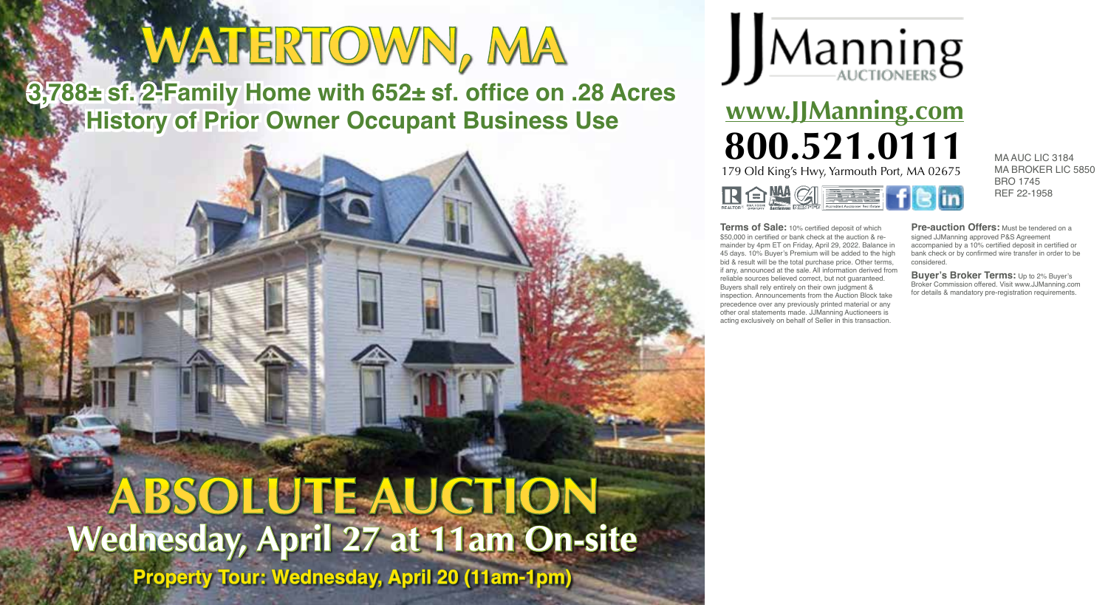# **WATERTOWN, MA**

**3,788± sf. 2-Family Home with 652± sf. office on .28 Acres History of Prior Owner Occupant Business Use** 



**www.JJManning.com 800.521.0111** MAAUC LIC 3184 179 Old King's Hwy, Yarmouth Port, MA 02675 RO HIGHER F

MA BROKER LIC 5850 BRO 1745 REF 22-1958

**Terms of Sale:** 10% certified deposit of which \$50,000 in certified or bank check at the auction & remainder by 4pm ET on Friday, April 29, 2022. Balance in 45 days. 10% Buyer's Premium will be added to the high bid & result will be the total purchase price. Other terms, if any, announced at the sale. All information derived from reliable sources believed correct, but not guaranteed. Buyers shall rely entirely on their own judgment & inspection. Announcements from the Auction Block take precedence over any previously printed material or any other oral statements made. JJManning Auctioneers is acting exclusively on behalf of Seller in this transaction.

**Pre-auction Offers:** Must be tendered on a signed JJManning approved P&S Agreement accompanied by a 10% certified deposit in certified or bank check or by confirmed wire transfer in order to be considered.

**Buyer's Broker Terms:** Up to 2% Buyer's Broker Commission offered. Visit www.JJManning.com for details & mandatory pre-registration requirements.

## **Wednesday, April 27 at 11am On-site ABSOLUTE AUCTION**

**Property Tour: Wednesday, April 20 (11am-1pm)**